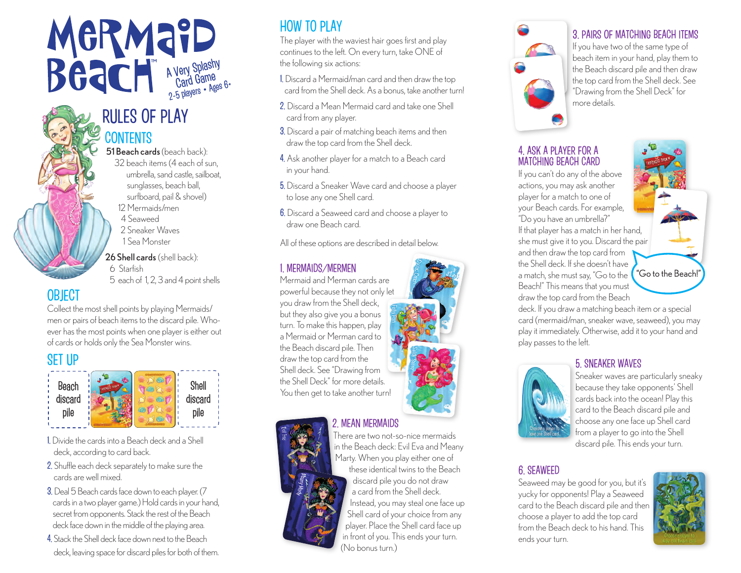# A Very Splashy Priced Game<br>Card Game<br>Card Game

## RULES OF PLAY **CONTENTS**

51 Beach cards (beach back): 32 beach items (4 each of sun, umbrella, sand castle, sailboat, sunglasses, beach ball, surfboard, pail & shovel) 12 Mermaids/men 4 Seaweed 2 Sneaker Waves 1 Sea Monster 26 Shell cards (shell back): 6 Starfish

5 each of 1, 2, 3 and 4 point shells

## **OBJECT**

Collect the most shell points by playing Mermaids/ men or pairs of beach items to the discard pile. Whoever has the most points when one player is either out of cards or holds only the Sea Monster wins.

## SET UP



- 1. Divide the cards into a Beach deck and a Shell deck, according to card back.
- 2. Shuffle each deck separately to make sure the cards are well mixed.
- 3. Deal 5 Beach cards face down to each player. (7 cards in a two player game.) Hold cards in your hand, secret from opponents. Stack the rest of the Beach deck face down in the middle of the playing area.
- 4. Stack the Shell deck face down next to the Beach deck, leaving space for discard piles for both of them.

## HOW TO PLAY

The player with the waviest hair goes first and play continues to the left. On every turn, take ONE of the following six actions:

- 1. Discard a Mermaid/man card and then draw the top card from the Shell deck. As a bonus, take another turn!
- 2. Discard a Mean Mermaid card and take one Shell card from any player.
- 3. Discard a pair of matching beach items and then draw the top card from the Shell deck.
- 4. Ask another player for a match to a Beach card in your hand.
- 5. Discard a Sneaker Wave card and choose a player to lose any one Shell card.
- 6. Discard a Seaweed card and choose a player to draw one Beach card.

All of these options are described in detail below.

#### 1. MERMAIDS/MERMEN

Mermaid and Merman cards are powerful because they not only let you draw from the Shell deck, but they also give you a bonus turn. To make this happen, play a Mermaid or Merman card to the Beach discard pile. Then draw the top card from the Shell deck. See "Drawing from the Shell Deck" for more details. You then get to take another turn!



#### 2. MEAN MERMAIDS



There are two not-so-nice mermaids in the Beach deck: Evil Eva and Meany Marty. When you play either one of these identical twins to the Beach discard pile you do not draw a card from the Shell deck. Instead, you may steal one face up Shell card of your choice from any player. Place the Shell card face up in front of you. This ends your turn. (No bonus turn.)



#### 3. PAIRS OF MATCHING BEACH ITEMS

If you have two of the same type of beach item in your hand, play them to the Beach discard pile and then draw the top card from the Shell deck. See "Drawing from the Shell Deck" for more details.

#### 4. ASK A PLAYER FOR A MATCHING BEACH CARD

If you can't do any of the above actions, you may ask another player for a match to one of your Beach cards. For example, "Do you have an umbrella?" If that player has a match in her hand, she must give it to you. Discard the pair and then draw the top card from the Shell deck. If she doesn't have a match, she must say, "Go to the Beach!" This means that you must draw the top card from the Beach



deck. If you draw a matching beach item or a special card (mermaid/man, sneaker wave, seaweed), you may play it immediately. Otherwise, add it to your hand and play passes to the left.

#### 5. SNEAKER WAVES



Sneaker waves are particularly sneaky because they take opponents' Shell cards back into the ocean! Play this card to the Beach discard pile and choose any one face up Shell card from a player to go into the Shell discard pile. This ends your turn.

#### 6. SEAWEED

Seaweed may be good for you, but it's yucky for opponents! Play a Seaweed card to the Beach discard pile and then choose a player to add the top card from the Beach deck to his hand. This ends your turn.

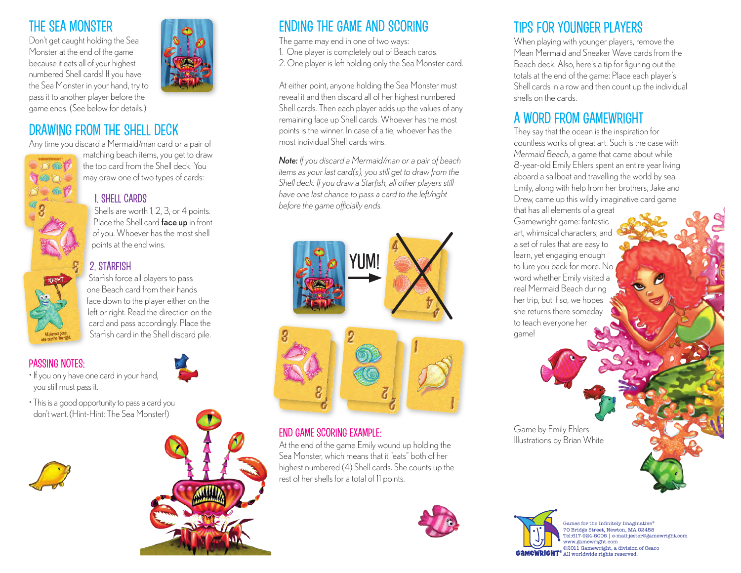## THE SEA MONSTER

Don't get caught holding the Sea Monster at the end of the game because it eats all of your highest numbered Shell cards! If you have the Sea Monster in your hand, try to pass it to another player before the game ends. (See below for details.)

## DRAWING FROM THE SHELL DECK



Any time you discard a Mermaid/man card or a pair of matching beach items, you get to draw the top card from the Shell deck. You may draw one of two types of cards:

#### 1. SHELL CARDS

Shells are worth 1, 2, 3, or 4 points. Place the Shell card **face up** in front of you. Whoever has the most shell points at the end wins.

#### 2. STARFISH

Starfish force all players to pass one Beach card from their hands face down to the player either on the left or right. Read the direction on the card and pass accordingly. Place the Starfish card in the Shell discard pile.

#### PASSING NOTES:

- If you only have one card in your hand, you still must pass it.
- This is a good opportunity to pass a card you don't want. (Hint-Hint: The Sea Monster!)





## ENDING THE GAME AND SCORING

The game may end in one of two ways:

- 1. One player is completely out of Beach cards.
- 2. One player is left holding only the Sea Monster card.

At either point, anyone holding the Sea Monster must reveal it and then discard all of her highest numbered Shell cards. Then each player adds up the values of any remaining face up Shell cards. Whoever has the most points is the winner. In case of a tie, whoever has the most individual Shell cards wins.

*Note: If you discard a Mermaid/man or a pair of beach items as your last card(s), you still get to draw from the Shell deck. If you draw a Starfish, all other players still have one last chance to pass a card to the left/right before the game officially ends.*



#### END GAME SCORING EXAMPLE:

At the end of the game Emily wound up holding the Sea Monster, which means that it "eats" both of her highest numbered (4) Shell cards. She counts up the rest of her shells for a total of 11 points.



## TIPS FOR YOUNGER PLAYERS

When playing with younger players, remove the Mean Mermaid and Sneaker Wave cards from the Beach deck. Also, here's a tip for figuring out the totals at the end of the game: Place each player's Shell cards in a row and then count up the individual shells on the cards.

## A WORD FROM GAMEWRIGHT

They say that the ocean is the inspiration for countless works of great art. Such is the case with *Mermaid Beach*, a game that came about while 8-year-old Emily Ehlers spent an entire year living aboard a sailboat and travelling the world by sea. Emily, along with help from her brothers, Jake and Drew, came up this wildly imaginative card game

that has all elements of a great Gamewright game: fantastic art, whimsical characters, and a set of rules that are easy to learn, yet engaging enough to lure you back for more. No word whether Emily visited a real Mermaid Beach during her trip, but if so, we hopes she returns there someday to teach everyone her game!

Game by Emily Ehlers Illustrations by Brian White



Games for the Infinitely Imaginative® 70 Bridge Street, Newton, MA 02458 Tel:617-924-6006 | e-mail:jester@gamewright.com ww.gamewright.c ©2011 Gamewright, a division of Ceaco **GAMEWRIGHT**<sup>®</sup> All worldwide rights reserved.

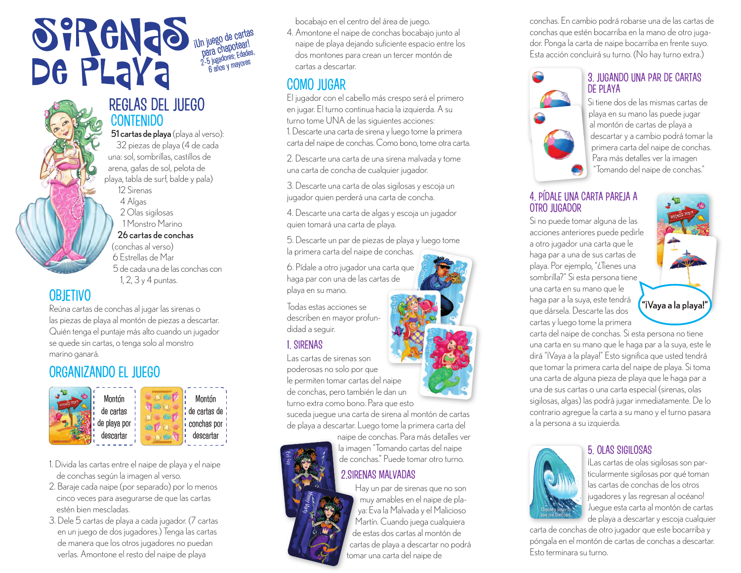## **SIRENAS** jUn juego de cartas n juego apotear!<br>para chapotear!<br>2-5 jugadores; Edades,<br>6 años y mayores

## REGLAS DEL JUEGO CONTENIDO

51 cartas de playa (playa al verso): 32 piezas de playa (4 de cada una: sol, sombrillas, castillos de arena, gafas de sol, pelota de playa, tabla de surf, balde y pala) 12 Sirenas 4 Algas 2 Olas sigilosas 1 Monstro Marino 26 cartas de conchas (conchas al verso)

 6 Estrellas de Mar 5 de cada una de las conchas con 1, 2, 3 y 4 puntas.

## **OBIFTIVO**

Reúna cartas de conchas al jugar las sirenas o las piezas de playa al montón de piezas a descartar. Quién tenga el puntaje más alto cuando un jugador se quede sin cartas, o tenga solo al monstro marino ganará.

## ORGANIZANDO EL JUEGO



- 1. Divida las cartas entre el naipe de playa y el naipe de conchas según la imagen al verso.
- 2. Baraje cada naipe (por separado) por lo menos cinco veces para asegurarse de que las cartas estén bien mescladas.
- 3. Dele 5 cartas de playa a cada jugador. (7 cartas en un juego de dos jugadores.) Tenga las cartas de manera que los otros jugadores no puedan verlas. Amontone el resto del naipe de playa

bocabajo en el centro del área de juego.

4. Amontone el naipe de conchas bocabajo junto al naipe de playa dejando suficiente espacio entre los dos montones para crean un tercer montón de cartas a descartar.

## COMO JUGAR

El jugador con el cabello más crespo será el primero en jugar. El turno continua hacia la izquierda. A su turno tome UNA de las siguientes acciones: 1. Descarte una carta de sirena y luego tome la primera carta del naipe de conchas. Como bono, tome otra carta.

2. Descarte una carta de una sirena malvada y tome una carta de concha de cualquier jugador.

3. Descarte una carta de olas sigilosas y escoja un jugador quien perderá una carta de concha.

4. Descarte una carta de algas y escoja un jugador quien tomará una carta de playa.

5. Descarte un par de piezas de playa y luego tome la primera carta del naipe de conchas.

6. Pídale a otro jugador una carta que haga par con una de las cartas de playa en su mano.

Todas estas acciones se describen en mayor profundidad a seguir.

#### 1. SIRENAS

Las cartas de sirenas son poderosas no solo por que le permiten tomar cartas del naipe de conchas, pero también le dan un turno extra como bono. Para que esto

suceda juegue una carta de sirena al montón de cartas de playa a descartar. Luego tome la primera carta del

> naipe de conchas. Para más detalles ver la imagen "Tomando cartas del naipe de conchas." Puede tomar otro turno.

#### 2.SIRENAS MALVADAS

Hay un par de sirenas que no son muy amables en el naipe de playa: Eva la Malvada y el Malicioso Martín. Cuando juega cualquiera de estas dos cartas al montón de cartas de playa a descartar no podrá tomar una carta del naipe de

conchas. En cambio podrá robarse una de las cartas de conchas que estén bocarriba en la mano de otro jugador. Ponga la carta de naipe bocarriba en frente suyo. Esta acción concluirá su turno. (No hay turno extra.)

#### 3. JUGANDO UNA PAR DE CARTAS DE PLAYA



#### 4. PÍDALE UNA CARTA PAREJA A OTRO JUGADOR

Si no puede tomar alguna de las acciones anteriores puede pedirle a otro jugador una carta que le haga par a una de sus cartas de playa. Por ejemplo, "¿Tienes una sombrilla?" Si esta persona tiene una carta en su mano que le haga par a la suya, este tendrá que dársela. Descarte las dos cartas y luego tome la primera



carta del naipe de conchas. Si esta persona no tiene una carta en su mano que le haga par a la suya, este le dirá "¡Vaya a la playa!" Esto significa que usted tendrá que tomar la primera carta del naipe de playa. Si toma una carta de alguna pieza de playa que le haga par a una de sus cartas o una carta especial (sirenas, olas sigilosas, algas) las podrá jugar inmediatamente. De lo contrario agregue la carta a su mano y el turno pasara a la persona a su izquierda.



#### 5. OLAS SIGILOSAS

¡Las cartas de olas sigilosas son particularmente sigilosas por qué toman las cartas de conchas de los otros jugadores y las regresan al océano! Juegue esta carta al montón de cartas de playa a descartar y escoja cualquier

carta de conchas de otro jugador que este bocarriba y póngala en el montón de cartas de conchas a descartar. Esto terminara su turno.